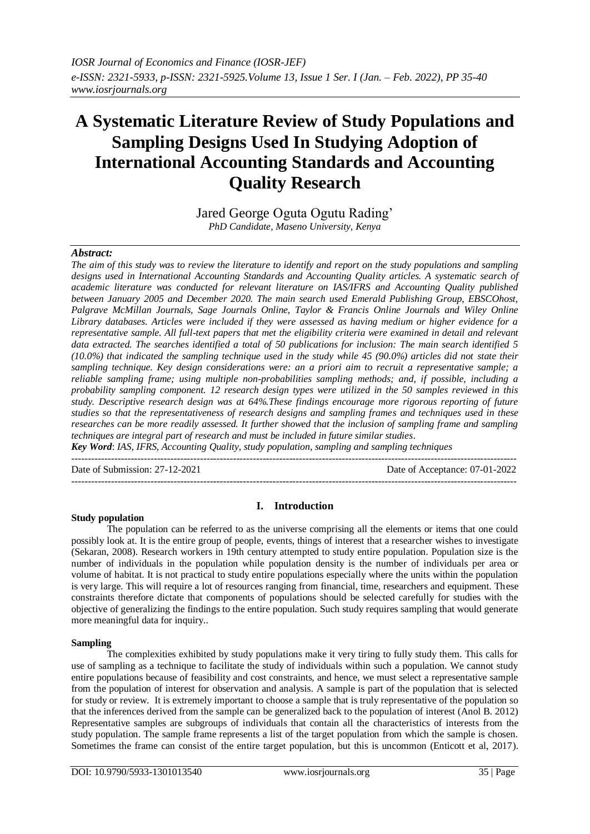# **A Systematic Literature Review of Study Populations and Sampling Designs Used In Studying Adoption of International Accounting Standards and Accounting Quality Research**

Jared George Oguta Ogutu Rading' *PhD Candidate, Maseno University, Kenya*

# *Abstract:*

*The aim of this study was to review the literature to identify and report on the study populations and sampling designs used in International Accounting Standards and Accounting Quality articles. A systematic search of academic literature was conducted for relevant literature on IAS/IFRS and Accounting Quality published between January 2005 and December 2020. The main search used Emerald Publishing Group, EBSCOhost, Palgrave McMillan Journals, Sage Journals Online, Taylor & Francis Online Journals and Wiley Online Library databases. Articles were included if they were assessed as having medium or higher evidence for a representative sample. All full-text papers that met the eligibility criteria were examined in detail and relevant data extracted. The searches identified a total of 50 publications for inclusion: The main search identified 5 (10.0%) that indicated the sampling technique used in the study while 45 (90.0%) articles did not state their sampling technique. Key design considerations were: an a priori aim to recruit a representative sample; a reliable sampling frame; using multiple non-probabilities sampling methods; and, if possible, including a probability sampling component. 12 research design types were utilized in the 50 samples reviewed in this study. Descriptive research design was at 64%.These findings encourage more rigorous reporting of future studies so that the representativeness of research designs and sampling frames and techniques used in these researches can be more readily assessed. It further showed that the inclusion of sampling frame and sampling techniques are integral part of research and must be included in future similar studies.*

*Key Word*: *IAS, IFRS, Accounting Quality, study population, sampling and sampling techniques* ---------------------------------------------------------------------------------------------------------------------------------------

Date of Submission: 27-12-2021 Date of Acceptance: 07-01-2022

---------------------------------------------------------------------------------------------------------------------------------------

## **Study population**

# **I. Introduction**

The population can be referred to as the universe comprising all the elements or items that one could possibly look at. It is the entire group of people, events, things of interest that a researcher wishes to investigate (Sekaran, 2008). Research workers in 19th century attempted to study entire population. Population size is the number of individuals in the population while population density is the number of individuals per area or volume of habitat. It is not practical to study entire populations especially where the units within the population is very large. This will require a lot of resources ranging from financial, time, researchers and equipment. These constraints therefore dictate that components of populations should be selected carefully for studies with the objective of generalizing the findings to the entire population. Such study requires sampling that would generate more meaningful data for inquiry..

## **Sampling**

The complexities exhibited by study populations make it very tiring to fully study them. This calls for use of sampling as a technique to facilitate the study of individuals within such a population. We cannot study entire populations because of feasibility and cost constraints, and hence, we must select a representative sample from the population of interest for observation and analysis. A sample is part of the population that is selected for study or review. It is extremely important to choose a sample that is truly representative of the population so that the inferences derived from the sample can be generalized back to the population of interest (Anol B. 2012) Representative samples are subgroups of individuals that contain all the characteristics of interests from the study population. The sample frame represents a list of the target population from which the sample is chosen. Sometimes the frame can consist of the entire target population, but this is uncommon (Enticott et al, 2017).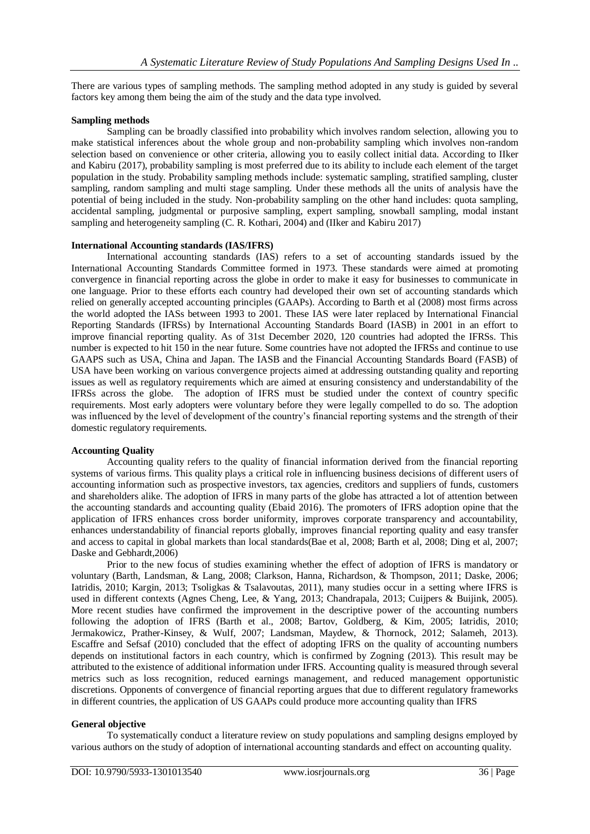There are various types of sampling methods. The sampling method adopted in any study is guided by several factors key among them being the aim of the study and the data type involved.

# **Sampling methods**

Sampling can be broadly classified into probability which involves random selection, allowing you to make statistical inferences about the whole group and non-probability sampling which involves non-random selection based on convenience or other criteria, allowing you to easily collect initial data. According to IIker and Kabiru (2017), probability sampling is most preferred due to its ability to include each element of the target population in the study. Probability sampling methods include: systematic sampling, stratified sampling, cluster sampling, random sampling and multi stage sampling. Under these methods all the units of analysis have the potential of being included in the study. Non-probability sampling on the other hand includes: quota sampling, accidental sampling, judgmental or purposive sampling, expert sampling, snowball sampling, modal instant sampling and heterogeneity sampling (C. R. Kothari, 2004) and (IIker and Kabiru 2017)

## **International Accounting standards (IAS/IFRS)**

International accounting standards (IAS) refers to a set of accounting standards issued by the International Accounting Standards Committee formed in 1973. These standards were aimed at promoting convergence in financial reporting across the globe in order to make it easy for businesses to communicate in one language. Prior to these efforts each country had developed their own set of accounting standards which relied on generally accepted accounting principles (GAAPs). According to Barth et al (2008) most firms across the world adopted the IASs between 1993 to 2001. These IAS were later replaced by International Financial Reporting Standards (IFRSs) by International Accounting Standards Board (IASB) in 2001 in an effort to improve financial reporting quality. As of 31st December 2020, 120 countries had adopted the IFRSs. This number is expected to hit 150 in the near future. Some countries have not adopted the IFRSs and continue to use GAAPS such as USA, China and Japan. The IASB and the Financial Accounting Standards Board (FASB) of USA have been working on various convergence projects aimed at addressing outstanding quality and reporting issues as well as regulatory requirements which are aimed at ensuring consistency and understandability of the IFRSs across the globe. The adoption of IFRS must be studied under the context of country specific requirements. Most early adopters were voluntary before they were legally compelled to do so. The adoption was influenced by the level of development of the country's financial reporting systems and the strength of their domestic regulatory requirements.

## **Accounting Quality**

Accounting quality refers to the quality of financial information derived from the financial reporting systems of various firms. This quality plays a critical role in influencing business decisions of different users of accounting information such as prospective investors, tax agencies, creditors and suppliers of funds, customers and shareholders alike. The adoption of IFRS in many parts of the globe has attracted a lot of attention between the accounting standards and accounting quality (Ebaid 2016). The promoters of IFRS adoption opine that the application of IFRS enhances cross border uniformity, improves corporate transparency and accountability, enhances understandability of financial reports globally, improves financial reporting quality and easy transfer and access to capital in global markets than local standards(Bae et al, 2008; Barth et al, 2008; Ding et al, 2007; Daske and Gebhardt,2006)

Prior to the new focus of studies examining whether the effect of adoption of IFRS is mandatory or voluntary (Barth, Landsman, & Lang, 2008; Clarkson, Hanna, Richardson, & Thompson, 2011; Daske, 2006; Iatridis, 2010; Kargin, 2013; Tsoligkas & Tsalavoutas, 2011), many studies occur in a setting where IFRS is used in different contexts (Agnes Cheng, Lee, & Yang, 2013; Chandrapala, 2013; Cuijpers & Buijink, 2005). More recent studies have confirmed the improvement in the descriptive power of the accounting numbers following the adoption of IFRS (Barth et al., 2008; Bartov, Goldberg, & Kim, 2005; Iatridis, 2010; Jermakowicz, Prather-Kinsey, & Wulf, 2007; Landsman, Maydew, & Thornock, 2012; Salameh, 2013). Escaffre and Sefsaf (2010) concluded that the effect of adopting IFRS on the quality of accounting numbers depends on institutional factors in each country, which is confirmed by Zogning (2013). This result may be attributed to the existence of additional information under IFRS. Accounting quality is measured through several metrics such as loss recognition, reduced earnings management, and reduced management opportunistic discretions. Opponents of convergence of financial reporting argues that due to different regulatory frameworks in different countries, the application of US GAAPs could produce more accounting quality than IFRS

## **General objective**

To systematically conduct a literature review on study populations and sampling designs employed by various authors on the study of adoption of international accounting standards and effect on accounting quality.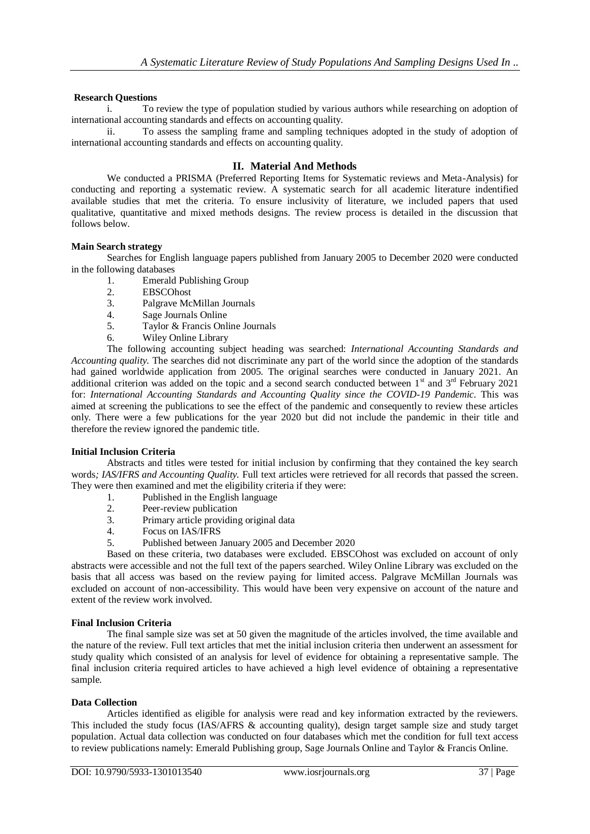# **Research Questions**

i. To review the type of population studied by various authors while researching on adoption of international accounting standards and effects on accounting quality.

ii. To assess the sampling frame and sampling techniques adopted in the study of adoption of international accounting standards and effects on accounting quality.

# **II. Material And Methods**

We conducted a PRISMA (Preferred Reporting Items for Systematic reviews and Meta-Analysis) for conducting and reporting a systematic review. A systematic search for all academic literature indentified available studies that met the criteria. To ensure inclusivity of literature, we included papers that used qualitative, quantitative and mixed methods designs. The review process is detailed in the discussion that follows below.

## **Main Search strategy**

Searches for English language papers published from January 2005 to December 2020 were conducted in the following databases

- 1. Emerald Publishing Group
- 2. EBSCOhost
- 3. Palgrave McMillan Journals
- 4. Sage Journals Online
- 5. Taylor & Francis Online Journals
- 6. Wiley Online Library

The following accounting subject heading was searched: *International Accounting Standards and Accounting quality.* The searches did not discriminate any part of the world since the adoption of the standards had gained worldwide application from 2005. The original searches were conducted in January 2021. An additional criterion was added on the topic and a second search conducted between  $1<sup>st</sup>$  and  $3<sup>rd</sup>$  February 2021 for: *International Accounting Standards and Accounting Quality since the COVID-19 Pandemic.* This was aimed at screening the publications to see the effect of the pandemic and consequently to review these articles only*.* There were a few publications for the year 2020 but did not include the pandemic in their title and therefore the review ignored the pandemic title.

#### **Initial Inclusion Criteria**

Abstracts and titles were tested for initial inclusion by confirming that they contained the key search words*; IAS/IFRS and Accounting Quality.* Full text articles were retrieved for all records that passed the screen. They were then examined and met the eligibility criteria if they were:

- 1. Published in the English language<br>2. Peer-review publication
- Peer-review publication
- 3. Primary article providing original data
- 4. Focus on IAS/IFRS
- 5. Published between January 2005 and December 2020

Based on these criteria, two databases were excluded. EBSCOhost was excluded on account of only abstracts were accessible and not the full text of the papers searched. Wiley Online Library was excluded on the basis that all access was based on the review paying for limited access. Palgrave McMillan Journals was excluded on account of non-accessibility. This would have been very expensive on account of the nature and extent of the review work involved.

#### **Final Inclusion Criteria**

The final sample size was set at 50 given the magnitude of the articles involved, the time available and the nature of the review. Full text articles that met the initial inclusion criteria then underwent an assessment for study quality which consisted of an analysis for level of evidence for obtaining a representative sample. The final inclusion criteria required articles to have achieved a high level evidence of obtaining a representative sample.

## **Data Collection**

Articles identified as eligible for analysis were read and key information extracted by the reviewers. This included the study focus (IAS/AFRS & accounting quality), design target sample size and study target population. Actual data collection was conducted on four databases which met the condition for full text access to review publications namely: Emerald Publishing group, Sage Journals Online and Taylor & Francis Online.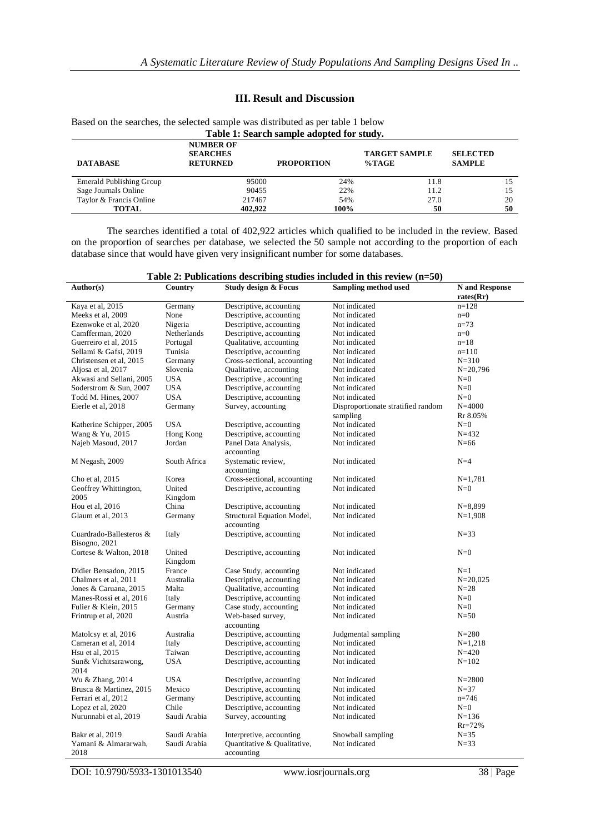# **III. Result and Discussion**

Based on the searches, the selected sample was distributed as per table 1 below **Table 1: Search sample adopted for study.**

| Tuote II Deur en bumpre uuopeeu for beuu (1 |                                                        |                   |                                   |                                  |  |
|---------------------------------------------|--------------------------------------------------------|-------------------|-----------------------------------|----------------------------------|--|
| <b>DATABASE</b>                             | <b>NUMBER OF</b><br><b>SEARCHES</b><br><b>RETURNED</b> | <b>PROPORTION</b> | <b>TARGET SAMPLE</b><br>$\%$ TAGE | <b>SELECTED</b><br><b>SAMPLE</b> |  |
| <b>Emerald Publishing Group</b>             | 95000                                                  | 24%               | 11.8                              |                                  |  |
| Sage Journals Online                        | 90455                                                  | 22%               | 11.2                              |                                  |  |
| Taylor & Francis Online                     | 217467                                                 | 54%               | 27.0                              | 20                               |  |
| <b>TOTAL</b>                                | 402.922                                                | 100%              | 50                                | 50                               |  |

The searches identified a total of 402,922 articles which qualified to be included in the review. Based on the proportion of searches per database, we selected the 50 sample not according to the proportion of each database since that would have given very insignificant number for some databases.

| Table 2: Publications describing studies included in this review $(n=50)$ |                   |                                           |                                    |                                    |
|---------------------------------------------------------------------------|-------------------|-------------------------------------------|------------------------------------|------------------------------------|
| Author(s)                                                                 | Country           | Study design & Focus                      | <b>Sampling method used</b>        | <b>N</b> and Response<br>rates(Rr) |
| Kaya et al, 2015                                                          | Germany           | Descriptive, accounting                   | Not indicated                      | $n=128$                            |
| Meeks et al, 2009                                                         | None              | Descriptive, accounting                   | Not indicated                      | $n=0$                              |
| Ezenwoke et al, 2020                                                      | Nigeria           | Descriptive, accounting                   | Not indicated                      | $n=73$                             |
| Camfferman, 2020                                                          | Netherlands       | Descriptive, accounting                   | Not indicated                      | $n=0$                              |
| Guerreiro et al, 2015                                                     | Portugal          | Qualitative, accounting                   | Not indicated                      | $n=18$                             |
| Sellami & Gafsi, 2019                                                     | Tunisia           | Descriptive, accounting                   | Not indicated                      | $n=110$                            |
| Christensen et al, 2015                                                   | Germany           | Cross-sectional, accounting               | Not indicated                      | $N = 310$                          |
| Aljosa et al, 2017                                                        | Slovenia          | Qualitative, accounting                   | Not indicated                      | $N = 20,796$                       |
| Akwasi and Sellani, 2005                                                  | <b>USA</b>        | Descriptive, accounting                   | Not indicated                      | $N=0$                              |
| Soderstrom & Sun, 2007                                                    | <b>USA</b>        | Descriptive, accounting                   | Not indicated                      | $N=0$                              |
| Todd M. Hines, 2007                                                       | <b>USA</b>        | Descriptive, accounting                   | Not indicated                      | $N=0$                              |
| Eierle et al, 2018                                                        | Germany           | Survey, accounting                        | Disproportionate stratified random | $N = 4000$                         |
|                                                                           |                   |                                           | sampling                           | Rr 8.05%                           |
| Katherine Schipper, 2005                                                  | <b>USA</b>        | Descriptive, accounting                   | Not indicated                      | $N=0$                              |
| Wang & Yu, 2015                                                           | Hong Kong         | Descriptive, accounting                   | Not indicated                      | $N = 432$                          |
| Najeb Masoud, 2017                                                        | Jordan            | Panel Data Analysis,                      | Not indicated                      | $N=66$                             |
|                                                                           |                   | accounting                                |                                    |                                    |
| M Negash, 2009                                                            | South Africa      | Systematic review,<br>accounting          | Not indicated                      | $N=4$                              |
| Cho et al, 2015                                                           | Korea             | Cross-sectional, accounting               | Not indicated                      | $N=1,781$                          |
| Geoffrey Whittington,                                                     | United            | Descriptive, accounting                   | Not indicated                      | $N=0$                              |
| 2005                                                                      | Kingdom           |                                           |                                    |                                    |
| Hou et al, $2016$                                                         | China             | Descriptive, accounting                   | Not indicated                      | $N = 8,899$                        |
| Glaum et al, 2013                                                         | Germany           | Structural Equation Model,<br>accounting  | Not indicated                      | $N=1,908$                          |
| Cuardrado-Ballesteros &                                                   | Italy             | Descriptive, accounting                   | Not indicated                      | $N=33$                             |
| Bisogno, 2021                                                             |                   |                                           |                                    |                                    |
| Cortese & Walton, 2018                                                    | United<br>Kingdom | Descriptive, accounting                   | Not indicated                      | $N=0$                              |
| Didier Bensadon, 2015                                                     | France            | Case Study, accounting                    | Not indicated                      | $N=1$                              |
| Chalmers et al, 2011                                                      | Australia         | Descriptive, accounting                   | Not indicated                      | $N = 20,025$                       |
| Jones & Caruana, 2015                                                     | Malta             | Qualitative, accounting                   | Not indicated                      | $N=28$                             |
| Manes-Rossi et al, 2016                                                   | Italy             | Descriptive, accounting                   | Not indicated                      | $N=0$                              |
| Fulier & Klein, 2015                                                      | Germany           | Case study, accounting                    | Not indicated                      | $N=0$                              |
| Frintrup et al, 2020                                                      | Austria           | Web-based survey,<br>accounting           | Not indicated                      | $N=50$                             |
| Matolcsy et al, 2016                                                      | Australia         | Descriptive, accounting                   | Judgmental sampling                | $N = 280$                          |
| Cameran et al, 2014                                                       | Italy             | Descriptive, accounting                   | Not indicated                      | $N=1,218$                          |
| Hsu et al, 2015                                                           | Taiwan            | Descriptive, accounting                   | Not indicated                      | $N = 420$                          |
| Sun& Vichitsarawong,                                                      | <b>USA</b>        | Descriptive, accounting                   | Not indicated                      | $N = 102$                          |
| 2014                                                                      |                   |                                           |                                    |                                    |
| Wu & Zhang, 2014                                                          | <b>USA</b>        | Descriptive, accounting                   | Not indicated                      | $N = 2800$                         |
| Brusca & Martinez, 2015                                                   | Mexico            | Descriptive, accounting                   | Not indicated                      | $N=37$                             |
| Ferrari et al, 2012                                                       | Germany           | Descriptive, accounting                   | Not indicated                      | $n=746$                            |
| Lopez et al, 2020                                                         | Chile             | Descriptive, accounting                   | Not indicated                      | $N=0$                              |
| Nurunnabi et al, 2019                                                     | Saudi Arabia      | Survey, accounting                        | Not indicated                      | $N = 136$<br>$Rr = 72%$            |
| Bakr et al, 2019                                                          | Saudi Arabia      | Interpretive, accounting                  | Snowball sampling                  | $N = 35$                           |
| Yamani & Almararwah,<br>2018                                              | Saudi Arabia      | Quantitative & Qualitative,<br>accounting | Not indicated                      | $N = 33$                           |

DOI: 10.9790/5933-1301013540 www.iosrjournals.org 38 | Page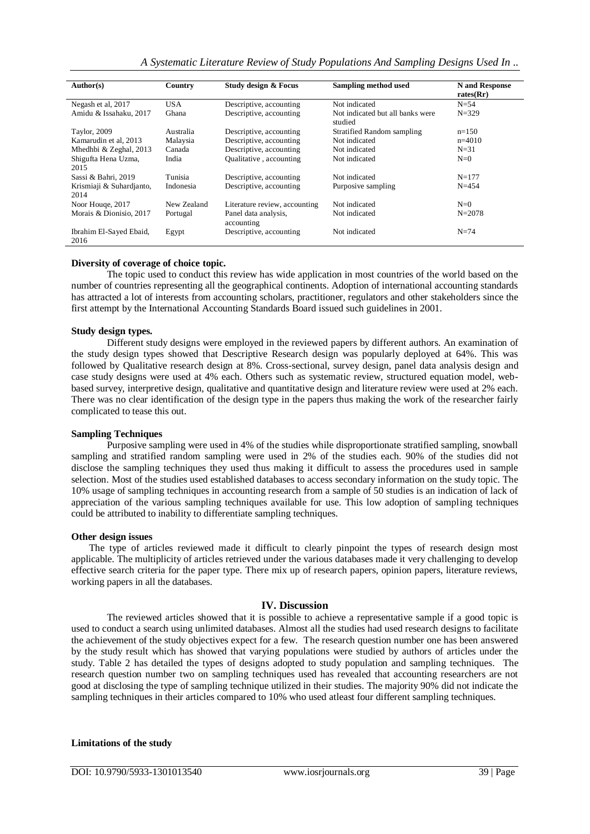| A Systematic Literature Review of Study Populations And Sampling Designs Used In |  |  |  |  |
|----------------------------------------------------------------------------------|--|--|--|--|
|----------------------------------------------------------------------------------|--|--|--|--|

| Author(s)                       | Country     | Study design & Focus               | Sampling method used                        | <b>N</b> and Response |
|---------------------------------|-------------|------------------------------------|---------------------------------------------|-----------------------|
|                                 |             |                                    |                                             | rates(Rr)             |
| Negash et al, 2017              | USA.        | Descriptive, accounting            | Not indicated                               | $N = 54$              |
| Amidu & Issahaku, 2017          | Ghana       | Descriptive, accounting            | Not indicated but all banks were<br>studied | $N = 329$             |
| Taylor, 2009                    | Australia   | Descriptive, accounting            | <b>Stratified Random sampling</b>           | $n=150$               |
| Kamarudin et al. 2013           | Malaysia    | Descriptive, accounting            | Not indicated                               | $n=4010$              |
| Mhedhbi & Zeghal, 2013          | Canada      | Descriptive, accounting            | Not indicated                               | $N=31$                |
| Shigufta Hena Uzma,             | India       | Qualitative, accounting            | Not indicated                               | $N=0$                 |
| 2015                            |             |                                    |                                             |                       |
| Sassi & Bahri, 2019             | Tunisia     | Descriptive, accounting            | Not indicated                               | $N = 177$             |
| Krismiaji & Suhardjanto,        | Indonesia   | Descriptive, accounting            | Purposive sampling                          | $N = 454$             |
| 2014                            |             |                                    |                                             |                       |
| Noor Houge, 2017                | New Zealand | Literature review, accounting      | Not indicated                               | $N=0$                 |
| Morais & Dionisio, 2017         | Portugal    | Panel data analysis,<br>accounting | Not indicated                               | $N = 2078$            |
| Ibrahim El-Sayed Ebaid,<br>2016 | Egypt       | Descriptive, accounting            | Not indicated                               | $N=74$                |

## **Diversity of coverage of choice topic.**

The topic used to conduct this review has wide application in most countries of the world based on the number of countries representing all the geographical continents. Adoption of international accounting standards has attracted a lot of interests from accounting scholars, practitioner, regulators and other stakeholders since the first attempt by the International Accounting Standards Board issued such guidelines in 2001.

# **Study design types.**

Different study designs were employed in the reviewed papers by different authors. An examination of the study design types showed that Descriptive Research design was popularly deployed at 64%. This was followed by Qualitative research design at 8%. Cross-sectional, survey design, panel data analysis design and case study designs were used at 4% each. Others such as systematic review, structured equation model, webbased survey, interpretive design, qualitative and quantitative design and literature review were used at 2% each. There was no clear identification of the design type in the papers thus making the work of the researcher fairly complicated to tease this out.

# **Sampling Techniques**

Purposive sampling were used in 4% of the studies while disproportionate stratified sampling, snowball sampling and stratified random sampling were used in 2% of the studies each. 90% of the studies did not disclose the sampling techniques they used thus making it difficult to assess the procedures used in sample selection. Most of the studies used established databases to access secondary information on the study topic. The 10% usage of sampling techniques in accounting research from a sample of 50 studies is an indication of lack of appreciation of the various sampling techniques available for use. This low adoption of sampling techniques could be attributed to inability to differentiate sampling techniques.

## **Other design issues**

The type of articles reviewed made it difficult to clearly pinpoint the types of research design most applicable. The multiplicity of articles retrieved under the various databases made it very challenging to develop effective search criteria for the paper type. There mix up of research papers, opinion papers, literature reviews, working papers in all the databases.

# **IV. Discussion**

The reviewed articles showed that it is possible to achieve a representative sample if a good topic is used to conduct a search using unlimited databases. Almost all the studies had used research designs to facilitate the achievement of the study objectives expect for a few. The research question number one has been answered by the study result which has showed that varying populations were studied by authors of articles under the study. Table 2 has detailed the types of designs adopted to study population and sampling techniques. The research question number two on sampling techniques used has revealed that accounting researchers are not good at disclosing the type of sampling technique utilized in their studies. The majority 90% did not indicate the sampling techniques in their articles compared to 10% who used atleast four different sampling techniques.

# **Limitations of the study**